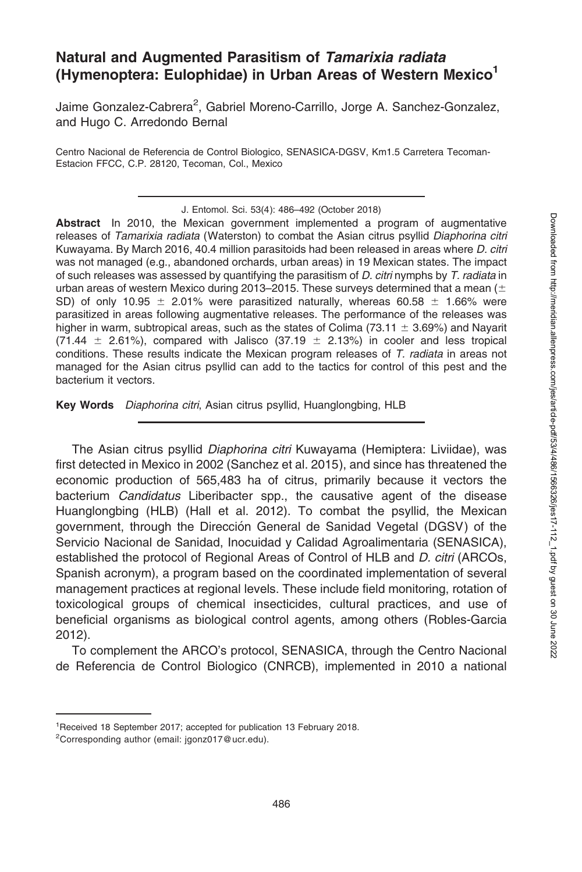# Natural and Augmented Parasitism of Tamarixia radiata (Hymenoptera: Eulophidae) in Urban Areas of Western Mexico<sup>1</sup>

Jaime Gonzalez-Cabrera<sup>2</sup>, Gabriel Moreno-Carrillo, Jorge A. Sanchez-Gonzalez, and Hugo C. Arredondo Bernal

Centro Nacional de Referencia de Control Biologico, SENASICA-DGSV, Km1.5 Carretera Tecoman-Estacion FFCC, C.P. 28120, Tecoman, Col., Mexico

Abstract In 2010, the Mexican government implemented a program of augmentative releases of Tamarixia radiata (Waterston) to combat the Asian citrus psyllid Diaphorina citri Kuwayama. By March 2016, 40.4 million parasitoids had been released in areas where D. citri was not managed (e.g., abandoned orchards, urban areas) in 19 Mexican states. The impact of such releases was assessed by quantifying the parasitism of D. citri nymphs by T. radiata in urban areas of western Mexico during 2013–2015. These surveys determined that a mean  $(±$ SD) of only 10.95  $\pm$  2.01% were parasitized naturally, whereas 60.58  $\pm$  1.66% were parasitized in areas following augmentative releases. The performance of the releases was higher in warm, subtropical areas, such as the states of Colima (73.11  $\pm$  3.69%) and Nayarit (71.44  $\pm$  2.61%), compared with Jalisco (37.19  $\pm$  2.13%) in cooler and less tropical conditions. These results indicate the Mexican program releases of T. radiata in areas not managed for the Asian citrus psyllid can add to the tactics for control of this pest and the bacterium it vectors.

Key Words Diaphorina citri, Asian citrus psyllid, Huanglongbing, HLB

The Asian citrus psyllid Diaphorina citri Kuwayama (Hemiptera: Liviidae), was first detected in Mexico in 2002 (Sanchez et al. 2015), and since has threatened the economic production of 565,483 ha of citrus, primarily because it vectors the bacterium Candidatus Liberibacter spp., the causative agent of the disease Huanglongbing (HLB) (Hall et al. 2012). To combat the psyllid, the Mexican government, through the Dirección General de Sanidad Vegetal (DGSV) of the Servicio Nacional de Sanidad, Inocuidad y Calidad Agroalimentaria (SENASICA), established the protocol of Regional Areas of Control of HLB and D. citri (ARCOs, Spanish acronym), a program based on the coordinated implementation of several management practices at regional levels. These include field monitoring, rotation of toxicological groups of chemical insecticides, cultural practices, and use of beneficial organisms as biological control agents, among others (Robles-Garcia 2012).

To complement the ARCO's protocol, SENASICA, through the Centro Nacional de Referencia de Control Biologico (CNRCB), implemented in 2010 a national

J. Entomol. Sci. 53(4): 486–492 (October 2018)

<sup>&</sup>lt;sup>1</sup> Received 18 September 2017; accepted for publication 13 February 2018.

<sup>&</sup>lt;sup>2</sup>Corresponding author (email: jgonz017@ucr.edu).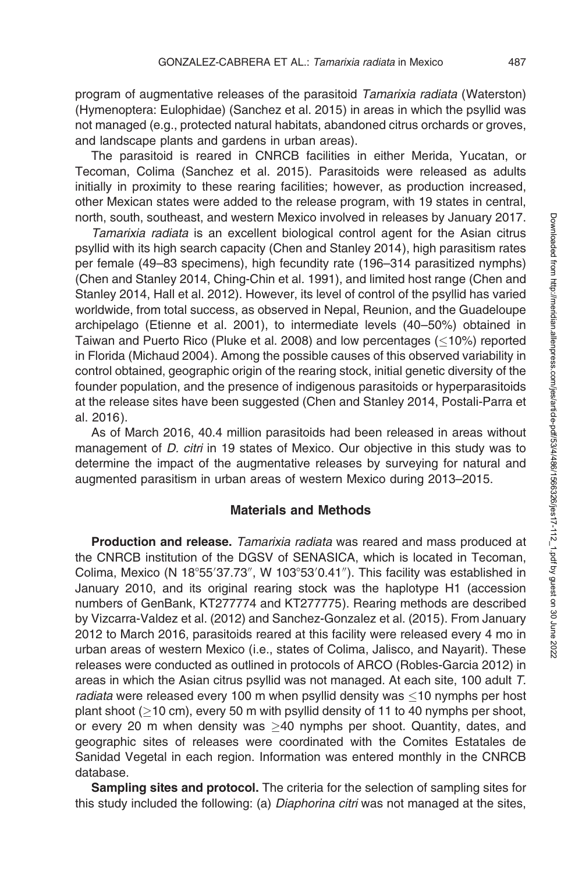program of augmentative releases of the parasitoid Tamarixia radiata (Waterston) (Hymenoptera: Eulophidae) (Sanchez et al. 2015) in areas in which the psyllid was not managed (e.g., protected natural habitats, abandoned citrus orchards or groves, and landscape plants and gardens in urban areas).

The parasitoid is reared in CNRCB facilities in either Merida, Yucatan, or Tecoman, Colima (Sanchez et al. 2015). Parasitoids were released as adults initially in proximity to these rearing facilities; however, as production increased, other Mexican states were added to the release program, with 19 states in central, north, south, southeast, and western Mexico involved in releases by January 2017.

Tamarixia radiata is an excellent biological control agent for the Asian citrus psyllid with its high search capacity (Chen and Stanley 2014), high parasitism rates per female (49–83 specimens), high fecundity rate (196–314 parasitized nymphs) (Chen and Stanley 2014, Ching-Chin et al. 1991), and limited host range (Chen and Stanley 2014, Hall et al. 2012). However, its level of control of the psyllid has varied worldwide, from total success, as observed in Nepal, Reunion, and the Guadeloupe archipelago (Etienne et al. 2001), to intermediate levels (40–50%) obtained in Taiwan and Puerto Rico (Pluke et al. 2008) and low percentages ( $\leq$ 10%) reported in Florida (Michaud 2004). Among the possible causes of this observed variability in control obtained, geographic origin of the rearing stock, initial genetic diversity of the founder population, and the presence of indigenous parasitoids or hyperparasitoids at the release sites have been suggested (Chen and Stanley 2014, Postali-Parra et al. 2016).

As of March 2016, 40.4 million parasitoids had been released in areas without management of *D. citri* in 19 states of Mexico. Our objective in this study was to determine the impact of the augmentative releases by surveying for natural and augmented parasitism in urban areas of western Mexico during 2013–2015.

### Materials and Methods

Production and release. Tamarixia radiata was reared and mass produced at the CNRCB institution of the DGSV of SENASICA, which is located in Tecoman, Colima, Mexico (N 18°55'37.73", W 103°53'0.41"). This facility was established in January 2010, and its original rearing stock was the haplotype H1 (accession numbers of GenBank, KT277774 and KT277775). Rearing methods are described by Vizcarra-Valdez et al. (2012) and Sanchez-Gonzalez et al. (2015). From January 2012 to March 2016, parasitoids reared at this facility were released every 4 mo in urban areas of western Mexico (i.e., states of Colima, Jalisco, and Nayarit). These releases were conducted as outlined in protocols of ARCO (Robles-Garcia 2012) in areas in which the Asian citrus psyllid was not managed. At each site, 100 adult T. radiata were released every 100 m when psyllid density was  $\leq$ 10 nymphs per host plant shoot ( $\geq$ 10 cm), every 50 m with psyllid density of 11 to 40 nymphs per shoot, or every 20 m when density was  $\geq$ 40 nymphs per shoot. Quantity, dates, and geographic sites of releases were coordinated with the Comites Estatales de Sanidad Vegetal in each region. Information was entered monthly in the CNRCB database.

Sampling sites and protocol. The criteria for the selection of sampling sites for this study included the following: (a) Diaphorina citri was not managed at the sites,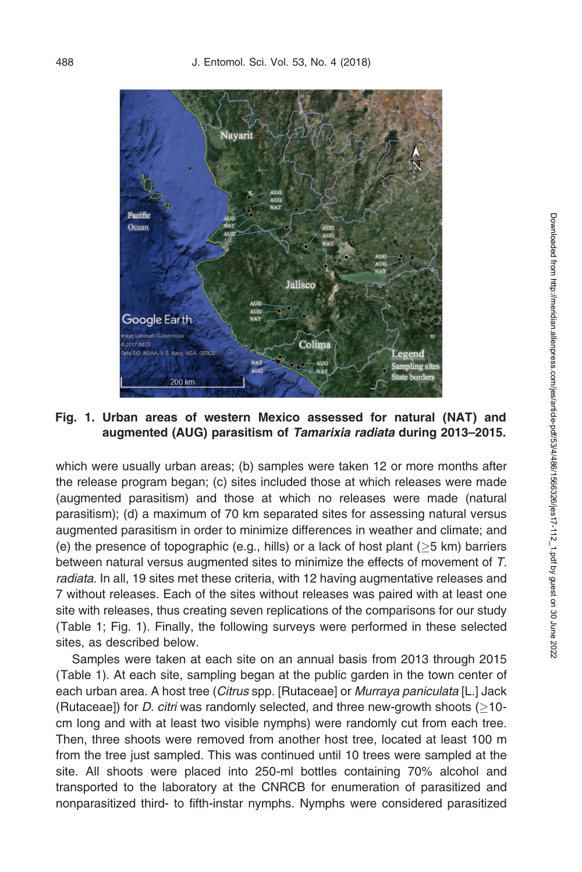

## Fig. 1. Urban areas of western Mexico assessed for natural (NAT) and augmented (AUG) parasitism of Tamarixia radiata during 2013–2015.

which were usually urban areas; (b) samples were taken 12 or more months after the release program began; (c) sites included those at which releases were made (augmented parasitism) and those at which no releases were made (natural parasitism); (d) a maximum of 70 km separated sites for assessing natural versus augmented parasitism in order to minimize differences in weather and climate; and (e) the presence of topographic (e.g., hills) or a lack of host plant ( $\geq$ 5 km) barriers between natural versus augmented sites to minimize the effects of movement of T. radiata. In all, 19 sites met these criteria, with 12 having augmentative releases and 7 without releases. Each of the sites without releases was paired with at least one site with releases, thus creating seven replications of the comparisons for our study (Table 1; Fig. 1). Finally, the following surveys were performed in these selected sites, as described below.

Samples were taken at each site on an annual basis from 2013 through 2015 (Table 1). At each site, sampling began at the public garden in the town center of each urban area. A host tree (Citrus spp. [Rutaceae] or Murraya paniculata [L.] Jack (Rutaceae]) for *D. citri* was randomly selected, and three new-growth shoots  $(\geq 10$ cm long and with at least two visible nymphs) were randomly cut from each tree. Then, three shoots were removed from another host tree, located at least 100 m from the tree just sampled. This was continued until 10 trees were sampled at the site. All shoots were placed into 250-ml bottles containing 70% alcohol and transported to the laboratory at the CNRCB for enumeration of parasitized and nonparasitized third- to fifth-instar nymphs. Nymphs were considered parasitized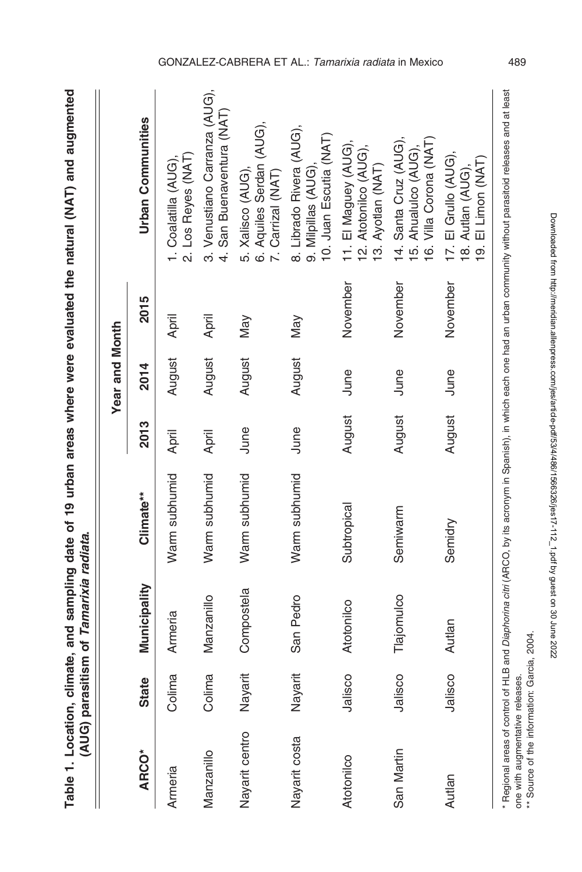|                              |         |              |               |        | Year and Month |          |                                                                                                                                               |
|------------------------------|---------|--------------|---------------|--------|----------------|----------|-----------------------------------------------------------------------------------------------------------------------------------------------|
| <b>ARCO*</b>                 | State   | Municipality | Climate**     | 2013   | 2014           | 2015     | <b>Urban Communities</b>                                                                                                                      |
| Armeria                      | Colima  | Armeria      | Warm subhumid | April  | August         | April    | 2. Los Reyes (NAT)<br>1. Coalatilla (AUG),                                                                                                    |
| Manzanillo                   | Colima  | Manzanillo   | Warm subhumid | April  | August         | April    | 3. Venustiano Carranza (AUG),<br>4. San Buenaventura (NAT)                                                                                    |
| Nayarit centro               | Nayarit | Compostela   | Warm subhumid | June   | August         | May      | 6. Aquiles Serdan (AUG),<br>5. Xalisco (AUG)<br>7. Carrizal (NAT)                                                                             |
| Nayarit costa                | Nayarit | San Pedro    | Warm subhumid | June   | August         | Nay      | 8. Librado Rivera (AUG),<br>10. Juan Escutia (NAT)<br>9. Milpillas (AUG),                                                                     |
| Atotonilco                   | Jalisco | Atotonilco   | Subtropical   | August | June           | November | 11. El Maguey (AUG),<br>12. Atotonilco (AUG),<br>13. Ayotlan (NAT)                                                                            |
| San Martin                   | Jalisco | Tlajomulco   | Semiwarm      | August | June           | November | 16. Villa Corona (NAT)<br>14. Santa Cruz (AUG),<br>15. Ahualulco (AUG),                                                                       |
| Autlan                       | Jalisco | Autlan       | Semidry       | August | June           | November | 17. El Grullo (AUG),<br>9. El Limon (NAT)<br>18. Autlan (AUG),                                                                                |
| Regional areas of control of |         |              |               |        |                |          | HLB and Diaphorina citri (ARCO, by its acronym in Spanish), in which each one had an urban community without parasitoid releases and at least |

Table 1. Location, climate, and sampling date of 19 urban areas where were evaluated the natural (NAT) and augmented Table 1. Location, climate, and sampling date of 19 urban areas where were evaluated the natural (NAT) and augmented

\*\* Source of the information: Garcia, 2004. \*\* Source of the information: Garcia, 2004. Downloaded from http://meridian.allenpress.com/jes/article-pdf/53/4/486/1566326/jes17-112\_1.pdf by guest on 30 June 2022

Downloaded from http://meridian.allenpress.com/jes/article-pdf/53/4/486/1566326/jes17-112\_1.pdf by guest on 30 June 2022

one with augmentative releases.

one with augmentative releases.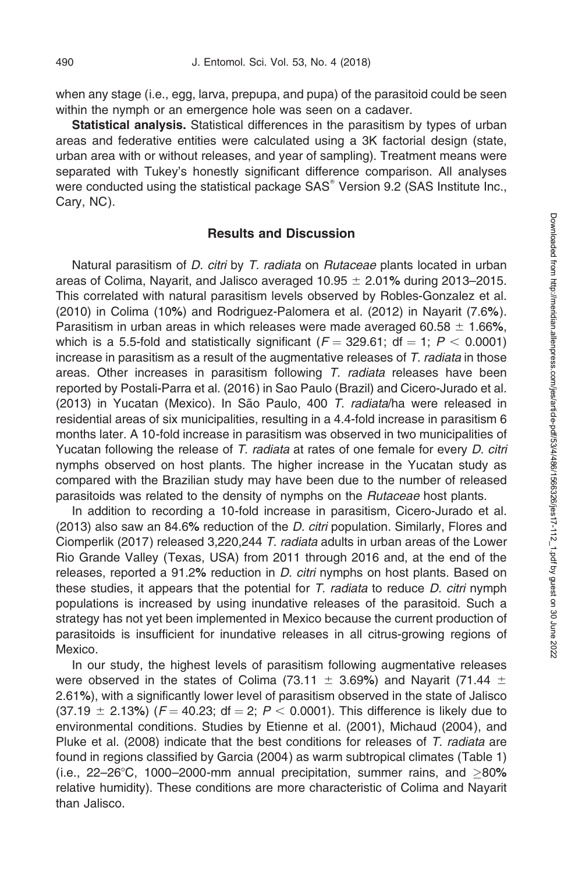when any stage (i.e., egg, larva, prepupa, and pupa) of the parasitoid could be seen within the nymph or an emergence hole was seen on a cadaver.

Statistical analysis. Statistical differences in the parasitism by types of urban areas and federative entities were calculated using a 3K factorial design (state, urban area with or without releases, and year of sampling). Treatment means were separated with Tukey's honestly significant difference comparison. All analyses were conducted using the statistical package  $SAS^{\circ}$  Version 9.2 (SAS Institute Inc., Cary, NC).

### Results and Discussion

Natural parasitism of *D. citri* by *T. radiata* on *Rutaceae* plants located in urban areas of Colima, Nayarit, and Jalisco averaged  $10.95 \pm 2.01\%$  during 2013–2015. This correlated with natural parasitism levels observed by Robles-Gonzalez et al. (2010) in Colima (10%) and Rodriguez-Palomera et al. (2012) in Nayarit (7.6%). Parasitism in urban areas in which releases were made averaged 60.58  $\pm$  1.66%, which is a 5.5-fold and statistically significant ( $F = 329.61$ ; df = 1; P < 0.0001) increase in parasitism as a result of the augmentative releases of  $T$ . *radiata* in those areas. Other increases in parasitism following T. radiata releases have been reported by Postali-Parra et al. (2016) in Sao Paulo (Brazil) and Cicero-Jurado et al.  $(2013)$  in Yucatan (Mexico). In São Paulo, 400 T. radiata/ha were released in residential areas of six municipalities, resulting in a 4.4-fold increase in parasitism 6 months later. A 10-fold increase in parasitism was observed in two municipalities of Yucatan following the release of T. radiata at rates of one female for every D. citri nymphs observed on host plants. The higher increase in the Yucatan study as compared with the Brazilian study may have been due to the number of released parasitoids was related to the density of nymphs on the Rutaceae host plants.

In addition to recording a 10-fold increase in parasitism, Cicero-Jurado et al. (2013) also saw an 84.6% reduction of the  $D$ . citri population. Similarly, Flores and Ciomperlik (2017) released 3,220,244 T. radiata adults in urban areas of the Lower Rio Grande Valley (Texas, USA) from 2011 through 2016 and, at the end of the releases, reported a 91.2% reduction in  $D$ . *citri* nymphs on host plants. Based on these studies, it appears that the potential for  $T$ . radiata to reduce  $D$ . citri nymph populations is increased by using inundative releases of the parasitoid. Such a strategy has not yet been implemented in Mexico because the current production of parasitoids is insufficient for inundative releases in all citrus-growing regions of Mexico.

In our study, the highest levels of parasitism following augmentative releases were observed in the states of Colima (73.11  $\pm$  3.69%) and Nayarit (71.44  $\pm$ 2.61%), with a significantly lower level of parasitism observed in the state of Jalisco  $(37.19 \pm 2.13%)$  (F = 40.23; df = 2; P < 0.0001). This difference is likely due to environmental conditions. Studies by Etienne et al. (2001), Michaud (2004), and Pluke et al. (2008) indicate that the best conditions for releases of T. radiata are found in regions classified by Garcia (2004) as warm subtropical climates (Table 1) (i.e.,  $22-26^{\circ}$ C, 1000-2000-mm annual precipitation, summer rains, and  $>80\%$ relative humidity). These conditions are more characteristic of Colima and Nayarit than Jalisco.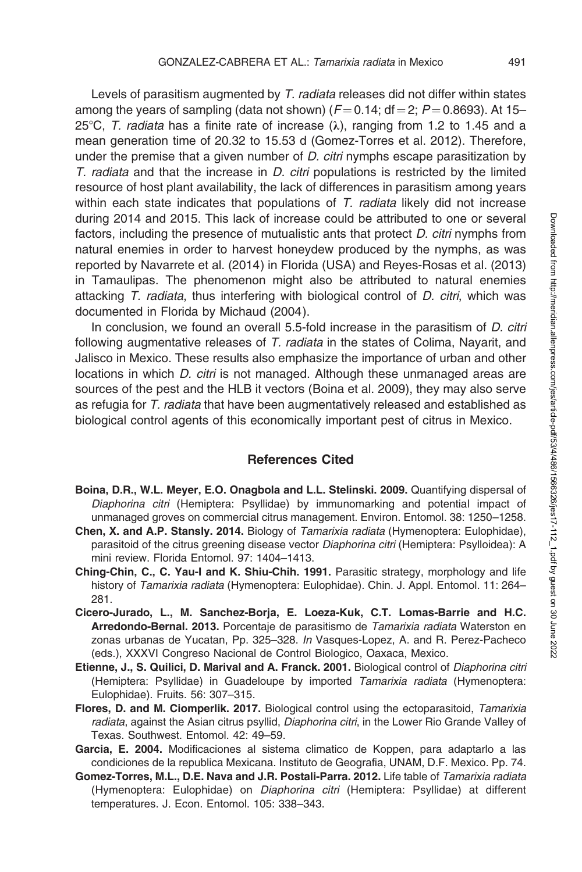Levels of parasitism augmented by T. radiata releases did not differ within states among the years of sampling (data not shown)  $(F=0.14; df=2; P=0.8693)$ . At 15– 25°C, T. radiata has a finite rate of increase  $(\lambda)$ , ranging from 1.2 to 1.45 and a mean generation time of 20.32 to 15.53 d (Gomez-Torres et al. 2012). Therefore, under the premise that a given number of  $D$ . *citri* nymphs escape parasitization by  $T.$  radiata and that the increase in  $D.$  citri populations is restricted by the limited resource of host plant availability, the lack of differences in parasitism among years within each state indicates that populations of  $T$ . *radiata* likely did not increase during 2014 and 2015. This lack of increase could be attributed to one or several factors, including the presence of mutualistic ants that protect D. citri nymphs from natural enemies in order to harvest honeydew produced by the nymphs, as was reported by Navarrete et al. (2014) in Florida (USA) and Reyes-Rosas et al. (2013) in Tamaulipas. The phenomenon might also be attributed to natural enemies attacking T. radiata, thus interfering with biological control of D. citri, which was documented in Florida by Michaud (2004).

In conclusion, we found an overall 5.5-fold increase in the parasitism of *D. citri* following augmentative releases of T. radiata in the states of Colima, Nayarit, and Jalisco in Mexico. These results also emphasize the importance of urban and other locations in which D. citri is not managed. Although these unmanaged areas are sources of the pest and the HLB it vectors (Boina et al. 2009), they may also serve as refugia for T. radiata that have been augmentatively released and established as biological control agents of this economically important pest of citrus in Mexico.

#### References Cited

- Boina, D.R., W.L. Meyer, E.O. Onagbola and L.L. Stelinski. 2009. Quantifying dispersal of Diaphorina citri (Hemiptera: Psyllidae) by immunomarking and potential impact of unmanaged groves on commercial citrus management. Environ. Entomol. 38: 1250–1258.
- Chen, X. and A.P. Stansly. 2014. Biology of Tamarixia radiata (Hymenoptera: Eulophidae), parasitoid of the citrus greening disease vector Diaphorina citri (Hemiptera: Psylloidea): A mini review. Florida Entomol. 97: 1404–1413.
- Ching-Chin, C., C. Yau-I and K. Shiu-Chih. 1991. Parasitic strategy, morphology and life history of Tamarixia radiata (Hymenoptera: Eulophidae). Chin. J. Appl. Entomol. 11: 264– 281.
- Cicero-Jurado, L., M. Sanchez-Borja, E. Loeza-Kuk, C.T. Lomas-Barrie and H.C. Arredondo-Bernal. 2013. Porcentaje de parasitismo de Tamarixia radiata Waterston en zonas urbanas de Yucatan, Pp. 325–328. In Vasques-Lopez, A. and R. Perez-Pacheco (eds.), XXXVI Congreso Nacional de Control Biologico, Oaxaca, Mexico.
- Etienne, J., S. Quilici, D. Marival and A. Franck. 2001. Biological control of Diaphorina citri (Hemiptera: Psyllidae) in Guadeloupe by imported Tamarixia radiata (Hymenoptera: Eulophidae). Fruits. 56: 307–315.
- Flores, D. and M. Ciomperlik. 2017. Biological control using the ectoparasitoid, Tamarixia radiata, against the Asian citrus psyllid, Diaphorina citri, in the Lower Rio Grande Valley of Texas. Southwest. Entomol. 42: 49–59.
- Garcia, E. 2004. Modificaciones al sistema climatico de Koppen, para adaptarlo a las condiciones de la republica Mexicana. Instituto de Geografia, UNAM, D.F. Mexico. Pp. 74.
- Gomez-Torres, M.L., D.E. Nava and J.R. Postali-Parra. 2012. Life table of Tamarixia radiata (Hymenoptera: Eulophidae) on Diaphorina citri (Hemiptera: Psyllidae) at different temperatures. J. Econ. Entomol. 105: 338–343.